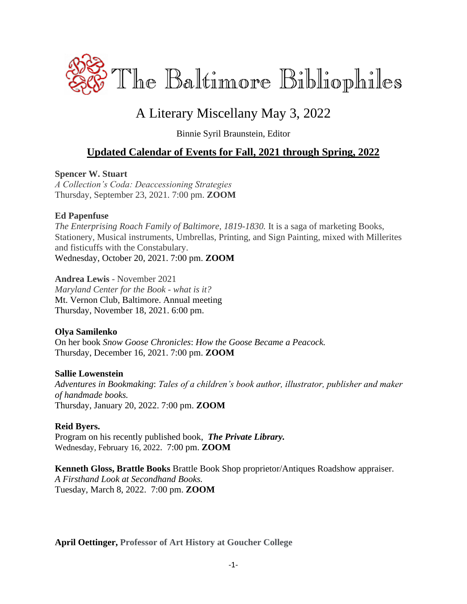

# A Literary Miscellany May 3, 2022

Binnie Syril Braunstein, Editor

## **Updated Calendar of Events for Fall, 2021 through Spring, 2022**

### **Spencer W. Stuart**

*A Collection's Coda: Deaccessioning Strategies* Thursday, September 23, 2021. 7:00 pm. **ZOOM**

### **Ed Papenfuse**

*The Enterprising Roach Family of Baltimore, 1819-1830.* It is a saga of marketing Books, Stationery, Musical instruments, Umbrellas, Printing, and Sign Painting, mixed with Millerites and fisticuffs with the Constabulary. Wednesday, October 20, 2021. 7:00 pm. **ZOOM**

**Andrea Lewis** - November 2021 *Maryland Center for the Book - what is it?* Mt. Vernon Club, Baltimore. Annual meeting Thursday, November 18, 2021. 6:00 pm.

### **Olya Samilenko**

On her book *Snow Goose Chronicles*: *How the Goose Became a Peacock.* Thursday, December 16, 2021. 7:00 pm. **ZOOM**

### **Sallie Lowenstein**

*Adventures in Bookmaking*: *Tales of a children's book author, illustrator, publisher and maker of handmade books.* Thursday, January 20, 2022. 7:00 pm. **ZOOM**

### **Reid Byers.**

Program on his recently published book,*The Private Library.* Wednesday, February 16, 2022. 7:00 pm. **ZOOM**

**Kenneth Gloss, Brattle Books** Brattle Book Shop proprietor/Antiques Roadshow appraiser. *A Firsthand Look at Secondhand Books.* Tuesday, March 8, 2022. 7:00 pm. **ZOOM**

**April Oettinger, Professor of Art History at Goucher College**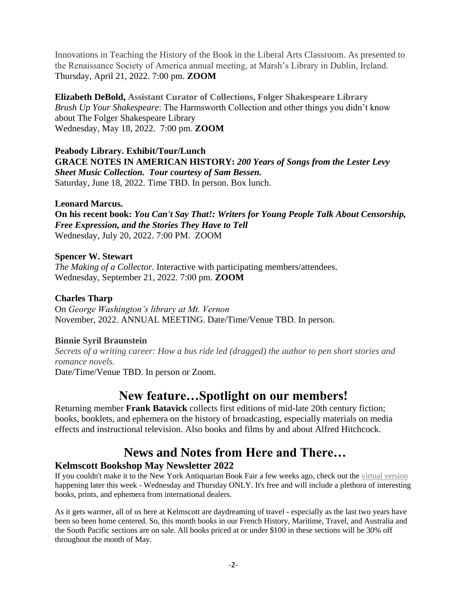Innovations in Teaching the History of the Book in the Liberal Arts Classroom. As presented to the Renaissance Society of America annual meeting, at Marsh's Library in Dublin, Ireland. Thursday, April 21, 2022. 7:00 pm. **ZOOM**

**Elizabeth DeBold, Assistant Curator of Collections, Folger Shakespeare Library** *Brush Up Your Shakespeare*: The Harmsworth Collection and other things you didn't know about The Folger Shakespeare Library Wednesday, May 18, 2022. 7:00 pm. **ZOOM**

### **Peabody Library. Exhibit/Tour/Lunch**

**GRACE NOTES IN AMERICAN HISTORY:** *200 Years of Songs from the Lester Levy Sheet Music Collection. Tour courtesy of Sam Bessen.* Saturday, June 18, 2022. Time TBD. In person. Box lunch.

### **Leonard Marcus.**

**On his recent book:** *You Can't Say That!: Writers for Young People Talk About Censorship, Free Expression, and the Stories They Have to Tell* Wednesday, July 20, 2022. 7:00 PM. ZOOM

### **Spencer W. Stewart**

*The Making of a Collector.* Interactive with participating members/attendees. Wednesday, September 21, 2022. 7:00 pm. **ZOOM**

### **Charles Tharp**

On *George Washington's library at Mt. Vernon* November, 2022. ANNUAL MEETING. Date/Time/Venue TBD. In person.

### **Binnie Syril Braunstein**

*Secrets of a writing career: How a bus ride led (dragged) the author to pen short stories and romance novels.*

Date/Time/Venue TBD. In person or Zoom.

# **New feature…Spotlight on our members!**

Returning member **Frank Batavick** collects first editions of mid-late 20th century fiction; books, booklets, and ephemera on the history of broadcasting, especially materials on media effects and instructional television. Also books and films by and about Alfred Hitchcock.

# **News and Notes from Here and There…**

### **Kelmscott Bookshop May Newsletter 2022**

If you couldn't make it to the New York Antiquarian Book Fair a few weeks ago, check out the [virtual version](http://www.abaa.org/vbf?utm_source=constantcontact&utm_medium=email&utm_campaign=newsletter) happening later this week - Wednesday and Thursday ONLY. It's free and will include a plethora of interesting books, prints, and ephemera from international dealers.

As it gets warmer, all of us here at Kelmscott are daydreaming of travel - especially as the last two years have been so been home centered. So, this month books in our French History, Maritime, Travel, and Australia and the South Pacific sections are on sale. All books priced at or under \$100 in these sections will be 30% off throughout the month of May.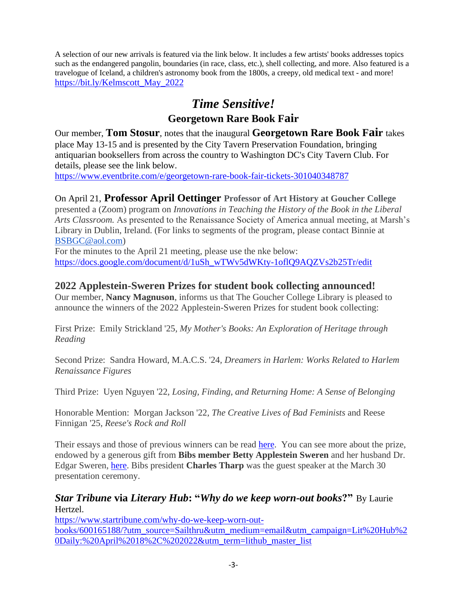A selection of our new arrivals is featured via the link below. It includes a few artists' books addresses topics such as the endangered pangolin, boundaries (in race, class, etc.), shell collecting, and more. Also featured is a travelogue of Iceland, a children's astronomy book from the 1800s, a creepy, old medical text - and more! [https://bit.ly/Kelmscott\\_May\\_2022](https://bit.ly/Kelmscott_May_2022)

# *Time Sensitive!*

## **Georgetown Rare Book Fair**

Our member, **Tom Stosur**, notes that the inaugural **Georgetown Rare Book Fair** takes place May 13-15 and is presented by the City Tavern Preservation Foundation, bringing antiquarian booksellers from across the country to Washington DC's City Tavern Club. For details, please see the link below.

<https://www.eventbrite.com/e/georgetown-rare-book-fair-tickets-301040348787>

### On April 21, **Professor April Oettinger Professor of Art History at Goucher College**

presented a (Zoom) program on *Innovations in Teaching the History of the Book in the Liberal Arts Classroom.* As presented to the Renaissance Society of America annual meeting, at Marsh's Library in Dublin, Ireland. (For links to segments of the program, please contact Binnie at [BSBGC@aol.com\)](mailto:BSBGC@aol.com)

For the minutes to the April 21 meeting, please use the nke below: [https://docs.google.com/document/d/1uSh\\_wTWv5dWKty-1oflQ9AQZVs2b25Tr/edit](https://docs.google.com/document/d/1uSh_wTWv5dWKty-1oflQ9AQZVs2b25Tr/edit)

### **2022 Applestein-Sweren Prizes for student book collecting announced!**

Our member, **Nancy Magnuson**, informs us that The Goucher College Library is pleased to announce the winners of the 2022 Applestein-Sweren Prizes for student book collecting:

First Prize: Emily Strickland '25*, My Mother's Books: An Exploration of Heritage through Reading*

Second Prize: Sandra Howard, M.A.C.S. '24*, Dreamers in Harlem: Works Related to Harlem Renaissance Figures*

Third Prize: Uyen Nguyen '22*, Losing, Finding, and Returning Home: A Sense of Belonging*

Honorable Mention: Morgan Jackson '22, *The Creative Lives of Bad Feminists* and Reese Finnigan '25, *Reese's Rock and Roll*

Their essays and those of previous winners can be read [here.](https://mdsoar.org/handle/11603/2242) You can see more about the prize, endowed by a generous gift from **Bibs member Betty Applestein Sweren** and her husband Dr. Edgar Sweren, [here.](https://www.goucher.edu/library/about-the-library/library-prizes-and-awards/applestein-sweren-book-collecting-prize/) Bibs president **Charles Tharp** was the guest speaker at the March 30 presentation ceremony.

*Star Tribune* **via** *Literary Hub***: "***Why do we keep worn-out books***?"** By Laurie Hertzel.

[https://www.startribune.com/why-do-we-keep-worn-out](https://www.startribune.com/why-do-we-keep-worn-out-books/600165188/?utm_source=Sailthru&utm_medium=email&utm_campaign=Lit%20Hub%20Daily:%20April%2018%2C%202022&utm_term=lithub_master_list)[books/600165188/?utm\\_source=Sailthru&utm\\_medium=email&utm\\_campaign=Lit%20Hub%2](https://www.startribune.com/why-do-we-keep-worn-out-books/600165188/?utm_source=Sailthru&utm_medium=email&utm_campaign=Lit%20Hub%20Daily:%20April%2018%2C%202022&utm_term=lithub_master_list) [0Daily:%20April%2018%2C%202022&utm\\_term=lithub\\_master\\_list](https://www.startribune.com/why-do-we-keep-worn-out-books/600165188/?utm_source=Sailthru&utm_medium=email&utm_campaign=Lit%20Hub%20Daily:%20April%2018%2C%202022&utm_term=lithub_master_list)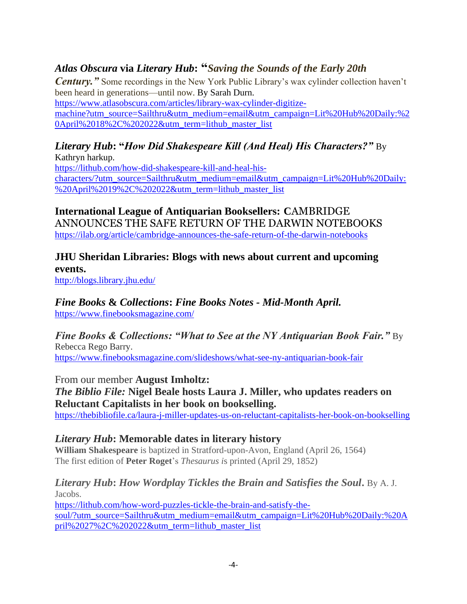# *Atlas Obscura* **via** *Literary Hub***: "***Saving the Sounds of the Early 20th*

*Century.*" Some recordings in the New York Public Library's wax cylinder collection haven't been heard in generations—until now. By Sarah Durn.

[https://www.atlasobscura.com/articles/library-wax-cylinder-digitize](https://www.atlasobscura.com/articles/library-wax-cylinder-digitize-machine?utm_source=Sailthru&utm_medium=email&utm_campaign=Lit%20Hub%20Daily:%20April%2018%2C%202022&utm_term=lithub_master_list)[machine?utm\\_source=Sailthru&utm\\_medium=email&utm\\_campaign=Lit%20Hub%20Daily:%2](https://www.atlasobscura.com/articles/library-wax-cylinder-digitize-machine?utm_source=Sailthru&utm_medium=email&utm_campaign=Lit%20Hub%20Daily:%20April%2018%2C%202022&utm_term=lithub_master_list) [0April%2018%2C%202022&utm\\_term=lithub\\_master\\_list](https://www.atlasobscura.com/articles/library-wax-cylinder-digitize-machine?utm_source=Sailthru&utm_medium=email&utm_campaign=Lit%20Hub%20Daily:%20April%2018%2C%202022&utm_term=lithub_master_list)

### *Literary Hub***: "***How Did Shakespeare Kill (And Heal) His Characters?"* By Kathryn harkup.

[https://lithub.com/how-did-shakespeare-kill-and-heal-his](https://lithub.com/how-did-shakespeare-kill-and-heal-his-characters/?utm_source=Sailthru&utm_medium=email&utm_campaign=Lit%20Hub%20Daily:%20April%2019%2C%202022&utm_term=lithub_master_list)[characters/?utm\\_source=Sailthru&utm\\_medium=email&utm\\_campaign=Lit%20Hub%20Daily:](https://lithub.com/how-did-shakespeare-kill-and-heal-his-characters/?utm_source=Sailthru&utm_medium=email&utm_campaign=Lit%20Hub%20Daily:%20April%2019%2C%202022&utm_term=lithub_master_list) [%20April%2019%2C%202022&utm\\_term=lithub\\_master\\_list](https://lithub.com/how-did-shakespeare-kill-and-heal-his-characters/?utm_source=Sailthru&utm_medium=email&utm_campaign=Lit%20Hub%20Daily:%20April%2019%2C%202022&utm_term=lithub_master_list)

**International League of Antiquarian Booksellers: C**AMBRIDGE ANNOUNCES THE SAFE RETURN OF THE DARWIN NOTEBOOKS <https://ilab.org/article/cambridge-announces-the-safe-return-of-the-darwin-notebooks>

## **JHU Sheridan Libraries: Blogs with news about current and upcoming events.**

<http://blogs.library.jhu.edu/>

# *Fine Books* **&** *Collections***:** *Fine Books Notes - Mid-Month April.*

<https://www.finebooksmagazine.com/>

# *Fine Books & Collections: "What to See at the NY Antiquarian Book Fair."* By Rebecca Rego Barry.

<https://www.finebooksmagazine.com/slideshows/what-see-ny-antiquarian-book-fair>

From our member **August Imholtz:**

# *The Biblio File:* **Nigel Beale hosts Laura J. Miller, who updates readers on Reluctant Capitalists in her book on bookselling.**

<https://thebibliofile.ca/laura-j-miller-updates-us-on-reluctant-capitalists-her-book-on-bookselling>

## *Literary Hub***: Memorable dates in literary history**

**William Shakespeare** is baptized in Stratford-upon-Avon, England (April 26, 1564) The first edition of **Peter Roget**'s *Thesaurus i*s printed (April 29, 1852)

### *Literary Hub***:** *How Wordplay Tickles the Brain and Satisfies the Soul***.** By A. J. Jacobs.

[https://lithub.com/how-word-puzzles-tickle-the-brain-and-satisfy-the](https://lithub.com/how-word-puzzles-tickle-the-brain-and-satisfy-the-soul/?utm_source=Sailthru&utm_medium=email&utm_campaign=Lit%20Hub%20Daily:%20April%2027%2C%202022&utm_term=lithub_master_list)[soul/?utm\\_source=Sailthru&utm\\_medium=email&utm\\_campaign=Lit%20Hub%20Daily:%20A](https://lithub.com/how-word-puzzles-tickle-the-brain-and-satisfy-the-soul/?utm_source=Sailthru&utm_medium=email&utm_campaign=Lit%20Hub%20Daily:%20April%2027%2C%202022&utm_term=lithub_master_list) [pril%2027%2C%202022&utm\\_term=lithub\\_master\\_list](https://lithub.com/how-word-puzzles-tickle-the-brain-and-satisfy-the-soul/?utm_source=Sailthru&utm_medium=email&utm_campaign=Lit%20Hub%20Daily:%20April%2027%2C%202022&utm_term=lithub_master_list)